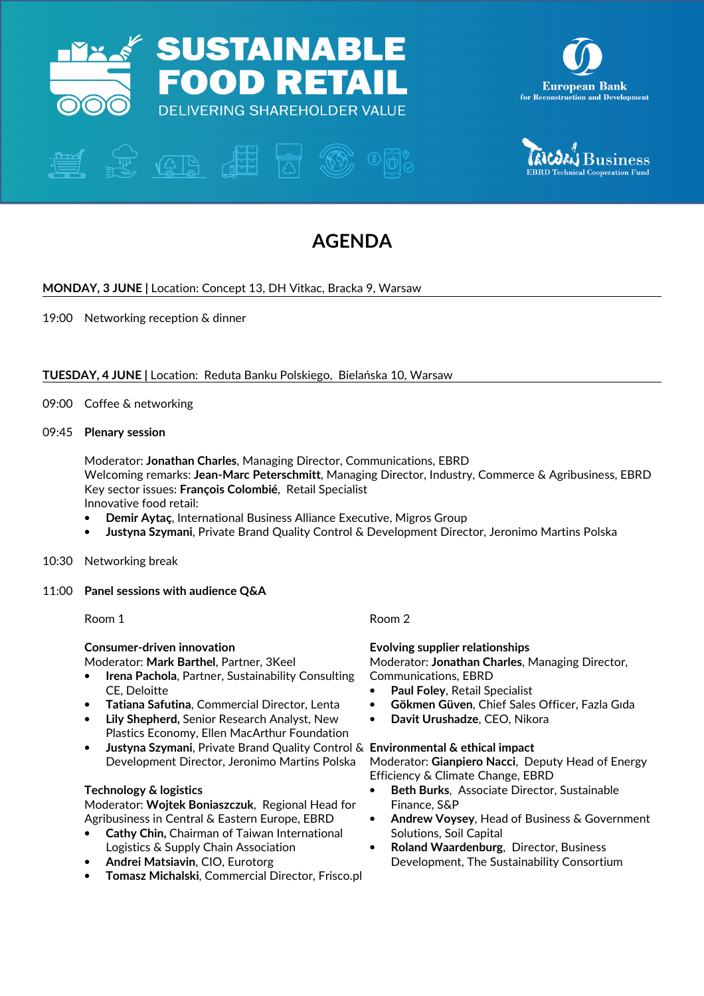





# AGENDA

# MONDAY, 3 JUNE | Location: Concept 13, DH Vitkac, Bracka 9, Warsaw

19:00 Networking reception & dinner

# TUESDAY, 4 JUNE | Location: Reduta Banku Polskiego, Bielańska 10, Warsaw

09:00 Coffee & networking

## 09:45 Plenary session

Moderator: Jonathan Charles, Managing Director, Communications, EBRD Welcoming remarks: Jean-Marc Peterschmitt, Managing Director, Industry, Commerce & Agribusiness, EBRD Key sector issues: François Colombié, Retail Specialist Innovative food retail:

- Demir Aytaç, International Business Alliance Executive, Migros Group
- Justyna Szymani, Private Brand Quality Control & Development Director, Jeronimo Martins Polska
- 10:30 Networking break

### 11:00 Panel sessions with audience Q&A

Room 1

Consumer-driven innovation

Moderator: Mark Barthel, Partner, 3Keel

- **Irena Pachola, Partner, Sustainability Consulting** CE, Deloitte
- Tatiana Safutina, Commercial Director, Lenta
- Lily Shepherd, Senior Research Analyst, New Plastics Economy, Ellen MacArthur Foundation
- Justyna Szymani, Private Brand Quality Control & Environmental & ethical impact Development Director, Jeronimo Martins Polska

# Technology & logistics

Moderator: Wojtek Boniaszczuk, Regional Head for Agribusiness in Central & Eastern Europe, EBRD

- Cathy Chin, Chairman of Taiwan International Logistics & Supply Chain Association
- Andrei Matsiavin, CIO, Eurotorg
- Tomasz Michalski, Commercial Director, Frisco.pl

# Room 2

Evolving supplier relationships

Moderator: Jonathan Charles, Managing Director, Communications, EBRD

- Paul Foley, Retail Specialist
- Gökmen Güven, Chief Sales Officer, Fazla Gıda
- Davit Urushadze, CEO, Nikora

Moderator: Gianpiero Nacci, Deputy Head of Energy Efficiency & Climate Change, EBRD

- Beth Burks, Associate Director, Sustainable Finance, S&P
- Andrew Voysey, Head of Business & Government Solutions, Soil Capital
- Roland Waardenburg, Director, Business Development, The Sustainability Consortium